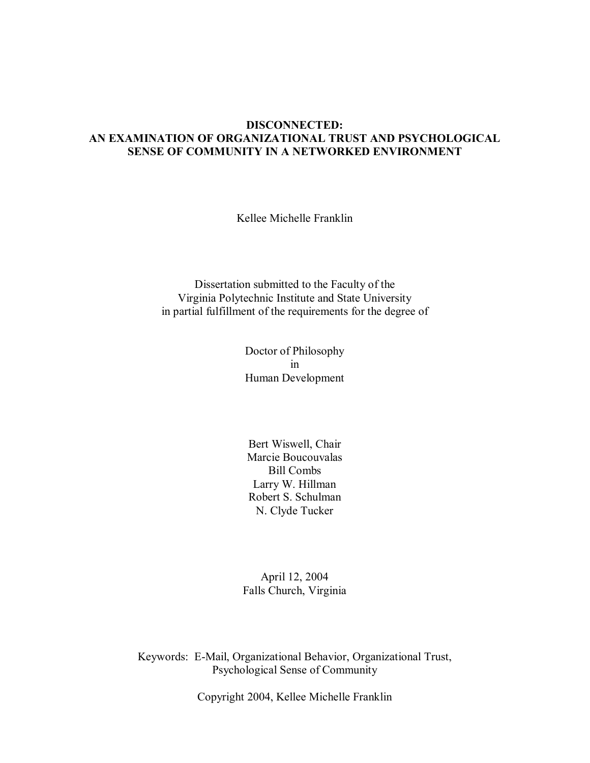### **DISCONNECTED: AN EXAMINATION OF ORGANIZATIONAL TRUST AND PSYCHOLOGICAL SENSE OF COMMUNITY IN A NETWORKED ENVIRONMENT**

Kellee Michelle Franklin

Dissertation submitted to the Faculty of the Virginia Polytechnic Institute and State University in partial fulfillment of the requirements for the degree of

> Doctor of Philosophy in Human Development

Bert Wiswell, Chair Marcie Boucouvalas Bill Combs Larry W. Hillman Robert S. Schulman N. Clyde Tucker

April 12, 2004 Falls Church, Virginia

Keywords: E-Mail, Organizational Behavior, Organizational Trust, Psychological Sense of Community

Copyright 2004, Kellee Michelle Franklin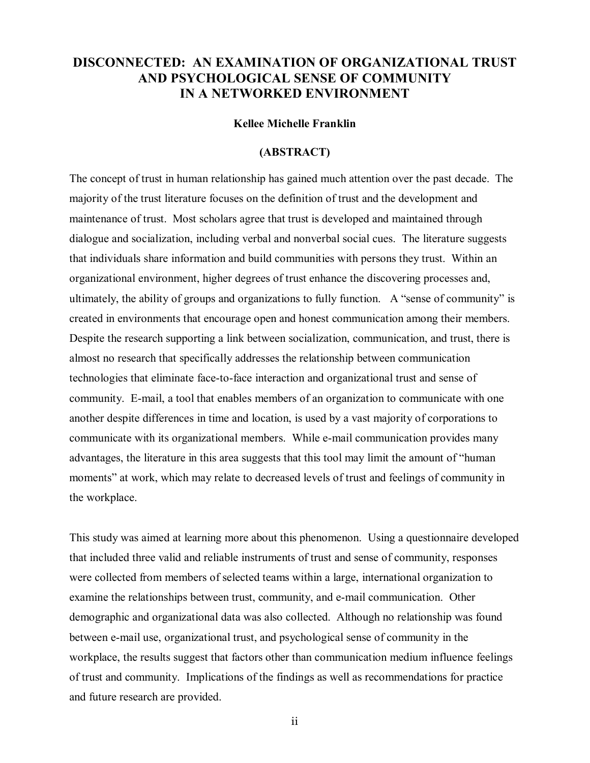# **DISCONNECTED: AN EXAMINATION OF ORGANIZATIONAL TRUST AND PSYCHOLOGICAL SENSE OF COMMUNITY IN A NETWORKED ENVIRONMENT**

## **Kellee Michelle Franklin**

#### **(ABSTRACT)**

The concept of trust in human relationship has gained much attention over the past decade. The majority of the trust literature focuses on the definition of trust and the development and maintenance of trust. Most scholars agree that trust is developed and maintained through dialogue and socialization, including verbal and nonverbal social cues. The literature suggests that individuals share information and build communities with persons they trust. Within an organizational environment, higher degrees of trust enhance the discovering processes and, ultimately, the ability of groups and organizations to fully function. A "sense of community" is created in environments that encourage open and honest communication among their members. Despite the research supporting a link between socialization, communication, and trust, there is almost no research that specifically addresses the relationship between communication technologies that eliminate face-to-face interaction and organizational trust and sense of community. E-mail, a tool that enables members of an organization to communicate with one another despite differences in time and location, is used by a vast majority of corporations to communicate with its organizational members. While e-mail communication provides many advantages, the literature in this area suggests that this tool may limit the amount of "human moments" at work, which may relate to decreased levels of trust and feelings of community in the workplace.

This study was aimed at learning more about this phenomenon. Using a questionnaire developed that included three valid and reliable instruments of trust and sense of community, responses were collected from members of selected teams within a large, international organization to examine the relationships between trust, community, and e-mail communication. Other demographic and organizational data was also collected. Although no relationship was found between e-mail use, organizational trust, and psychological sense of community in the workplace, the results suggest that factors other than communication medium influence feelings of trust and community. Implications of the findings as well as recommendations for practice and future research are provided.

ii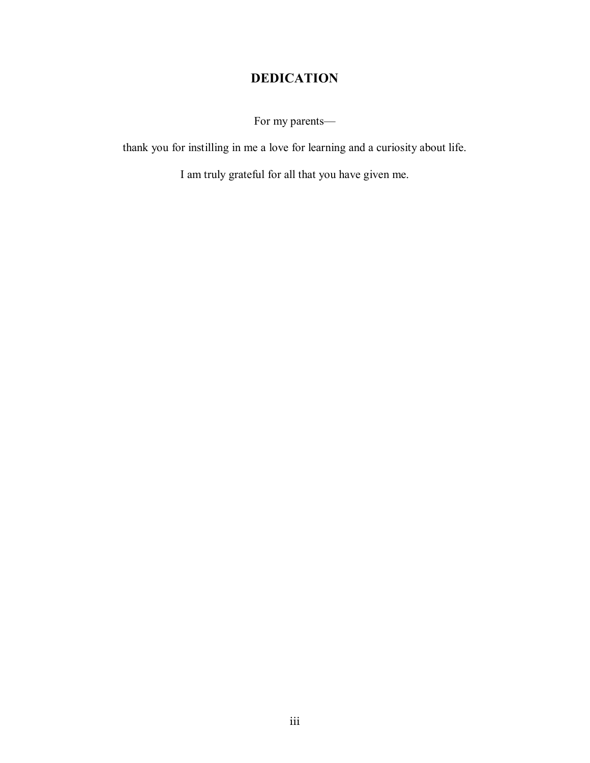# **DEDICATION**

For my parents—

thank you for instilling in me a love for learning and a curiosity about life.

I am truly grateful for all that you have given me.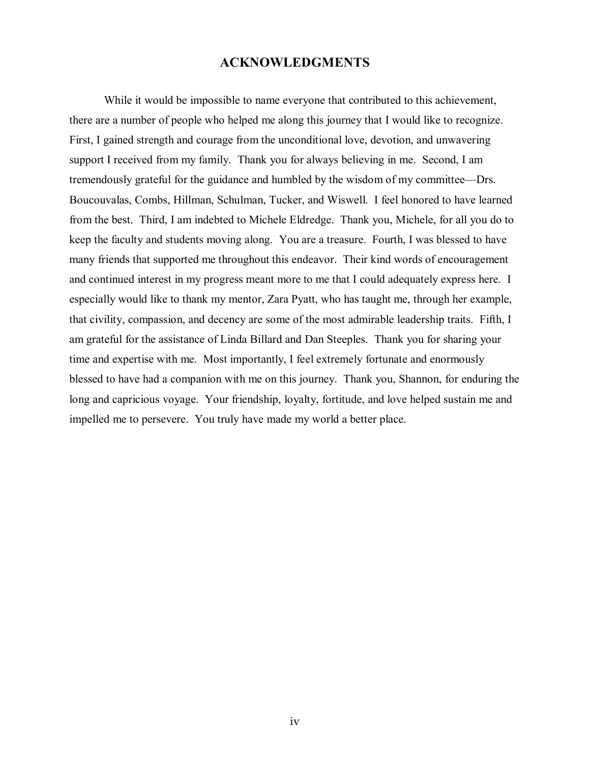## **ACKNOWLEDGMENTS**

 While it would be impossible to name everyone that contributed to this achievement, there are a number of people who helped me along this journey that I would like to recognize. First, I gained strength and courage from the unconditional love, devotion, and unwavering support I received from my family. Thank you for always believing in me. Second, I am tremendously grateful for the guidance and humbled by the wisdom of my committee—Drs. Boucouvalas, Combs, Hillman, Schulman, Tucker, and Wiswell. I feel honored to have learned from the best. Third, I am indebted to Michele Eldredge. Thank you, Michele, for all you do to keep the faculty and students moving along. You are a treasure. Fourth, I was blessed to have many friends that supported me throughout this endeavor. Their kind words of encouragement and continued interest in my progress meant more to me that I could adequately express here. I especially would like to thank my mentor, Zara Pyatt, who has taught me, through her example, that civility, compassion, and decency are some of the most admirable leadership traits. Fifth, I am grateful for the assistance of Linda Billard and Dan Steeples. Thank you for sharing your time and expertise with me. Most importantly, I feel extremely fortunate and enormously blessed to have had a companion with me on this journey. Thank you, Shannon, for enduring the long and capricious voyage. Your friendship, loyalty, fortitude, and love helped sustain me and impelled me to persevere. You truly have made my world a better place.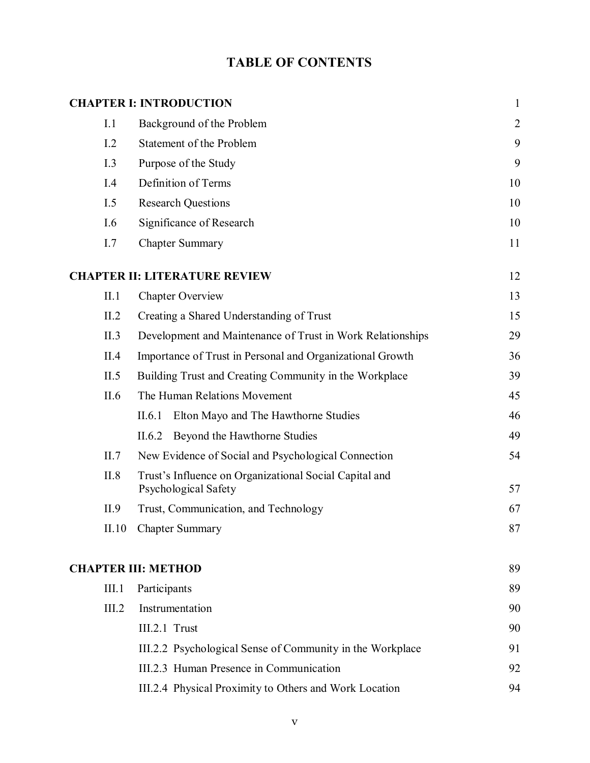# **TABLE OF CONTENTS**

|                                                                   | <b>CHAPTER I: INTRODUCTION</b>                                                 | $\mathbf{1}$   |
|-------------------------------------------------------------------|--------------------------------------------------------------------------------|----------------|
| I.1                                                               | Background of the Problem                                                      | $\overline{2}$ |
| I.2                                                               | Statement of the Problem                                                       | 9              |
| I.3                                                               | Purpose of the Study                                                           | 9              |
| I.4                                                               | Definition of Terms                                                            | 10             |
| I.5                                                               | <b>Research Questions</b>                                                      | 10             |
| I.6                                                               | Significance of Research                                                       | 10             |
| I.7                                                               | <b>Chapter Summary</b>                                                         | 11             |
|                                                                   | <b>CHAPTER II: LITERATURE REVIEW</b>                                           | 12             |
| II.1                                                              | <b>Chapter Overview</b>                                                        | 13             |
| II.2                                                              | Creating a Shared Understanding of Trust                                       | 15             |
| II.3                                                              | Development and Maintenance of Trust in Work Relationships                     | 29             |
| Importance of Trust in Personal and Organizational Growth<br>II.4 |                                                                                | 36             |
| II.5                                                              | Building Trust and Creating Community in the Workplace                         |                |
| II.6                                                              | The Human Relations Movement                                                   | 45             |
|                                                                   | Elton Mayo and The Hawthorne Studies<br>II.6.1                                 | 46             |
|                                                                   | Beyond the Hawthorne Studies<br>II.6.2                                         | 49             |
| II.7                                                              | New Evidence of Social and Psychological Connection                            | 54             |
| II.8                                                              | Trust's Influence on Organizational Social Capital and<br>Psychological Safety |                |
| II.9                                                              | Trust, Communication, and Technology                                           | 67             |
| II.10                                                             | <b>Chapter Summary</b>                                                         | 87             |
|                                                                   | <b>CHAPTER III: METHOD</b>                                                     | 89             |
| III.1                                                             | Participants                                                                   |                |
| III.2                                                             | Instrumentation                                                                | 90             |
|                                                                   | $III.2.1$ Trust                                                                | 90             |
|                                                                   | III.2.2 Psychological Sense of Community in the Workplace                      | 91             |
|                                                                   | III.2.3 Human Presence in Communication                                        | 92             |
|                                                                   | III.2.4 Physical Proximity to Others and Work Location                         | 94             |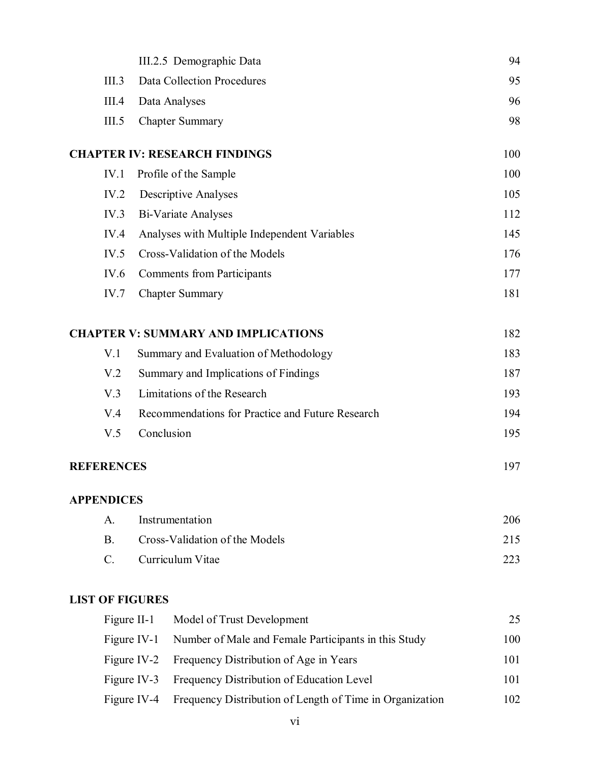|                        |            | III.2.5 Demographic Data                             | 94  |
|------------------------|------------|------------------------------------------------------|-----|
| III.3                  |            | <b>Data Collection Procedures</b>                    | 95  |
| III.4                  |            | Data Analyses                                        | 96  |
| III.5                  |            | <b>Chapter Summary</b>                               | 98  |
|                        |            | <b>CHAPTER IV: RESEARCH FINDINGS</b>                 | 100 |
| IV.1                   |            | Profile of the Sample                                | 100 |
| IV.2                   |            | <b>Descriptive Analyses</b>                          | 105 |
| IV.3                   |            | <b>Bi-Variate Analyses</b>                           | 112 |
| IV.4                   |            | Analyses with Multiple Independent Variables         | 145 |
| IV.5                   |            | Cross-Validation of the Models                       | 176 |
| IV.6                   |            | <b>Comments from Participants</b>                    | 177 |
| IV.7                   |            | <b>Chapter Summary</b>                               | 181 |
|                        |            | <b>CHAPTER V: SUMMARY AND IMPLICATIONS</b>           | 182 |
| V <sub>1</sub>         |            | Summary and Evaluation of Methodology                | 183 |
| V <sub>.2</sub>        |            | Summary and Implications of Findings                 | 187 |
| V.3                    |            | Limitations of the Research                          | 193 |
| V.4                    |            | Recommendations for Practice and Future Research     | 194 |
| V.5                    | Conclusion |                                                      | 195 |
| <b>REFERENCES</b>      |            |                                                      | 197 |
| <b>APPENDICES</b>      |            |                                                      |     |
| A.                     |            | Instrumentation                                      | 206 |
| <b>B.</b>              |            | Cross-Validation of the Models                       | 215 |
| $C$ .                  |            | Curriculum Vitae                                     | 223 |
| <b>LIST OF FIGURES</b> |            |                                                      |     |
| Figure II-1            |            | Model of Trust Development                           | 25  |
| Figure IV-1            |            | Number of Male and Female Participants in this Study | 100 |
| Figure IV-2            |            | Frequency Distribution of Age in Years               | 101 |

Figure IV-3 Frequency Distribution of Education Level 101 Figure IV-4 Frequency Distribution of Length of Time in Organization 102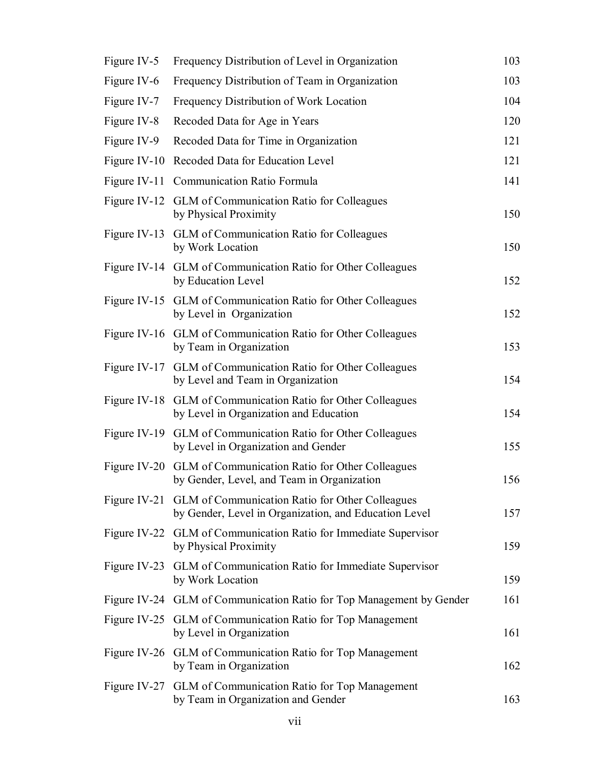| Figure IV-5  | Frequency Distribution of Level in Organization                                                                       | 103 |
|--------------|-----------------------------------------------------------------------------------------------------------------------|-----|
| Figure IV-6  | Frequency Distribution of Team in Organization                                                                        | 103 |
| Figure IV-7  | Frequency Distribution of Work Location                                                                               | 104 |
| Figure IV-8  | Recoded Data for Age in Years                                                                                         | 120 |
| Figure IV-9  | Recoded Data for Time in Organization                                                                                 | 121 |
| Figure IV-10 | Recoded Data for Education Level                                                                                      | 121 |
| Figure IV-11 | <b>Communication Ratio Formula</b>                                                                                    | 141 |
| Figure IV-12 | <b>GLM</b> of Communication Ratio for Colleagues<br>by Physical Proximity                                             | 150 |
|              | Figure IV-13 GLM of Communication Ratio for Colleagues<br>by Work Location                                            | 150 |
|              | Figure IV-14 GLM of Communication Ratio for Other Colleagues<br>by Education Level                                    | 152 |
|              | Figure IV-15 GLM of Communication Ratio for Other Colleagues<br>by Level in Organization                              | 152 |
|              | Figure IV-16 GLM of Communication Ratio for Other Colleagues<br>by Team in Organization                               | 153 |
|              | Figure IV-17 GLM of Communication Ratio for Other Colleagues<br>by Level and Team in Organization                     | 154 |
|              | Figure IV-18 GLM of Communication Ratio for Other Colleagues<br>by Level in Organization and Education                | 154 |
|              | Figure IV-19 GLM of Communication Ratio for Other Colleagues<br>by Level in Organization and Gender                   | 155 |
| Figure IV-20 | GLM of Communication Ratio for Other Colleagues<br>by Gender, Level, and Team in Organization                         | 156 |
|              | Figure IV-21 GLM of Communication Ratio for Other Colleagues<br>by Gender, Level in Organization, and Education Level | 157 |
|              | Figure IV-22 GLM of Communication Ratio for Immediate Supervisor<br>by Physical Proximity                             | 159 |
| Figure IV-23 | GLM of Communication Ratio for Immediate Supervisor<br>by Work Location                                               | 159 |
|              | Figure IV-24 GLM of Communication Ratio for Top Management by Gender                                                  | 161 |
|              | Figure IV-25 GLM of Communication Ratio for Top Management<br>by Level in Organization                                | 161 |
|              | Figure IV-26 GLM of Communication Ratio for Top Management<br>by Team in Organization                                 | 162 |
|              | Figure IV-27 GLM of Communication Ratio for Top Management<br>by Team in Organization and Gender                      | 163 |
|              |                                                                                                                       |     |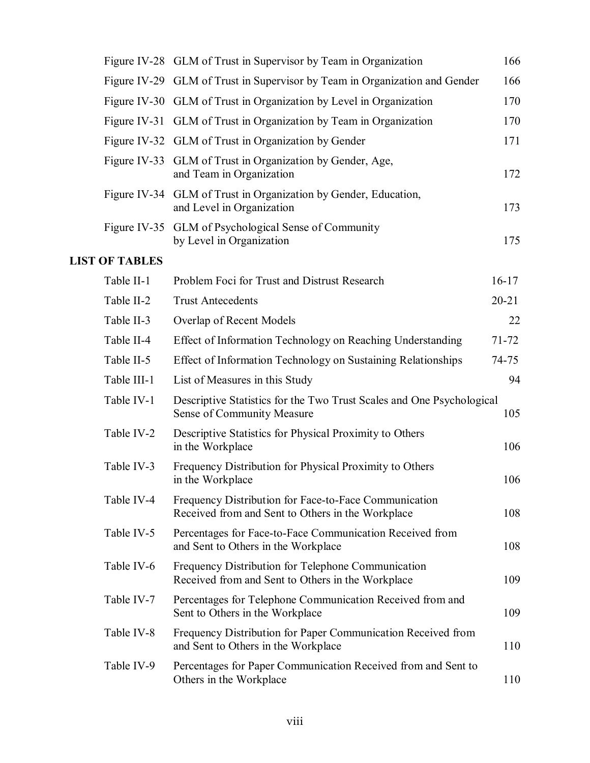|                       | Figure IV-28 GLM of Trust in Supervisor by Team in Organization                                            | 166       |
|-----------------------|------------------------------------------------------------------------------------------------------------|-----------|
|                       | Figure IV-29 GLM of Trust in Supervisor by Team in Organization and Gender                                 | 166       |
|                       | Figure IV-30 GLM of Trust in Organization by Level in Organization                                         | 170       |
|                       | Figure IV-31 GLM of Trust in Organization by Team in Organization                                          | 170       |
|                       | Figure IV-32 GLM of Trust in Organization by Gender                                                        | 171       |
|                       | Figure IV-33 GLM of Trust in Organization by Gender, Age,<br>and Team in Organization                      | 172       |
|                       | Figure IV-34 GLM of Trust in Organization by Gender, Education,<br>and Level in Organization               | 173       |
|                       | Figure IV-35 GLM of Psychological Sense of Community<br>by Level in Organization                           | 175       |
| <b>LIST OF TABLES</b> |                                                                                                            |           |
| Table II-1            | Problem Foci for Trust and Distrust Research                                                               | $16 - 17$ |
| Table II-2            | <b>Trust Antecedents</b>                                                                                   | $20 - 21$ |
| Table II-3            | Overlap of Recent Models                                                                                   | 22        |
| Table II-4            | Effect of Information Technology on Reaching Understanding                                                 | $71 - 72$ |
| Table II-5            | Effect of Information Technology on Sustaining Relationships                                               | $74 - 75$ |
| Table III-1           | List of Measures in this Study                                                                             | 94        |
| Table IV-1            | Descriptive Statistics for the Two Trust Scales and One Psychological<br>Sense of Community Measure        | 105       |
| Table IV-2            | Descriptive Statistics for Physical Proximity to Others<br>in the Workplace                                | 106       |
| Table IV-3            | Frequency Distribution for Physical Proximity to Others<br>in the Workplace                                | 106       |
| Table IV-4            | Frequency Distribution for Face-to-Face Communication<br>Received from and Sent to Others in the Workplace | 108       |
| Table IV-5            | Percentages for Face-to-Face Communication Received from<br>and Sent to Others in the Workplace            | 108       |
| Table IV-6            | Frequency Distribution for Telephone Communication<br>Received from and Sent to Others in the Workplace    | 109       |
| Table IV-7            | Percentages for Telephone Communication Received from and<br>Sent to Others in the Workplace               | 109       |
| Table IV-8            | Frequency Distribution for Paper Communication Received from<br>and Sent to Others in the Workplace        | 110       |
| Table IV-9            | Percentages for Paper Communication Received from and Sent to<br>Others in the Workplace                   | 110       |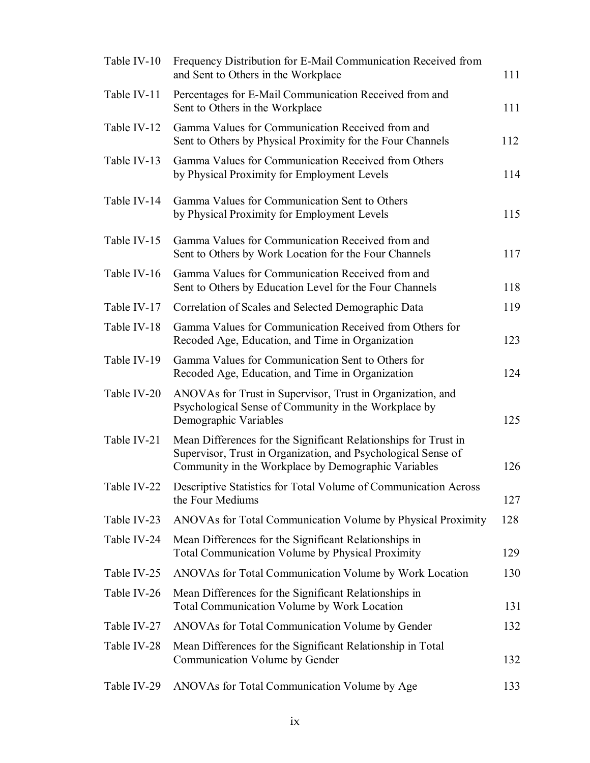| Table IV-10 | Frequency Distribution for E-Mail Communication Received from<br>and Sent to Others in the Workplace                                                                                    | 111 |
|-------------|-----------------------------------------------------------------------------------------------------------------------------------------------------------------------------------------|-----|
| Table IV-11 | Percentages for E-Mail Communication Received from and<br>Sent to Others in the Workplace                                                                                               | 111 |
| Table IV-12 | Gamma Values for Communication Received from and<br>Sent to Others by Physical Proximity for the Four Channels                                                                          | 112 |
| Table IV-13 | Gamma Values for Communication Received from Others<br>by Physical Proximity for Employment Levels                                                                                      | 114 |
| Table IV-14 | Gamma Values for Communication Sent to Others<br>by Physical Proximity for Employment Levels                                                                                            | 115 |
| Table IV-15 | Gamma Values for Communication Received from and<br>Sent to Others by Work Location for the Four Channels                                                                               | 117 |
| Table IV-16 | Gamma Values for Communication Received from and<br>Sent to Others by Education Level for the Four Channels                                                                             | 118 |
| Table IV-17 | Correlation of Scales and Selected Demographic Data                                                                                                                                     | 119 |
| Table IV-18 | Gamma Values for Communication Received from Others for<br>Recoded Age, Education, and Time in Organization                                                                             | 123 |
| Table IV-19 | Gamma Values for Communication Sent to Others for<br>Recoded Age, Education, and Time in Organization                                                                                   | 124 |
| Table IV-20 | ANOVAs for Trust in Supervisor, Trust in Organization, and<br>Psychological Sense of Community in the Workplace by<br>Demographic Variables                                             | 125 |
| Table IV-21 | Mean Differences for the Significant Relationships for Trust in<br>Supervisor, Trust in Organization, and Psychological Sense of<br>Community in the Workplace by Demographic Variables | 126 |
| Table IV-22 | Descriptive Statistics for Total Volume of Communication Across<br>the Four Mediums                                                                                                     | 127 |
| Table IV-23 | ANOVAs for Total Communication Volume by Physical Proximity                                                                                                                             | 128 |
| Table IV-24 | Mean Differences for the Significant Relationships in<br><b>Total Communication Volume by Physical Proximity</b>                                                                        | 129 |
| Table IV-25 | ANOVAs for Total Communication Volume by Work Location                                                                                                                                  | 130 |
| Table IV-26 | Mean Differences for the Significant Relationships in<br><b>Total Communication Volume by Work Location</b>                                                                             | 131 |
| Table IV-27 | ANOVAs for Total Communication Volume by Gender                                                                                                                                         | 132 |
| Table IV-28 | Mean Differences for the Significant Relationship in Total<br>Communication Volume by Gender                                                                                            | 132 |
| Table IV-29 | ANOVAs for Total Communication Volume by Age                                                                                                                                            | 133 |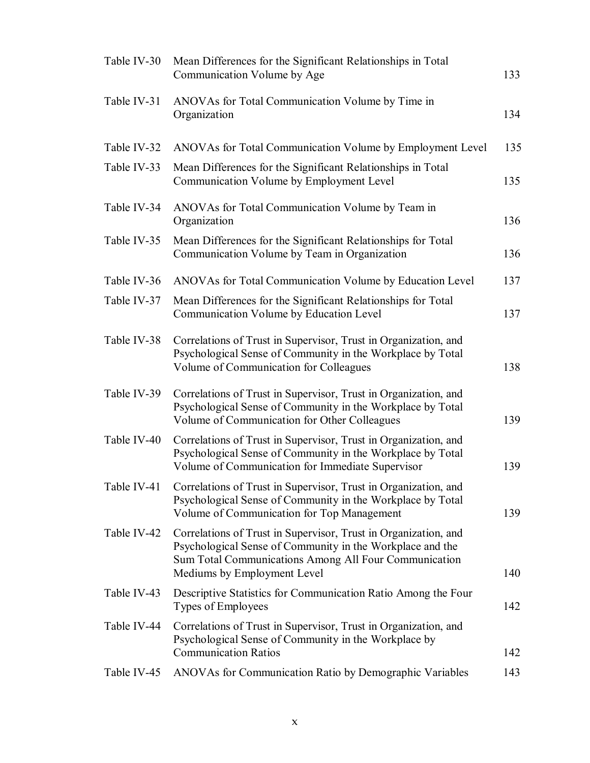| Table IV-30 | Mean Differences for the Significant Relationships in Total<br>Communication Volume by Age                                                                                                                           | 133        |
|-------------|----------------------------------------------------------------------------------------------------------------------------------------------------------------------------------------------------------------------|------------|
| Table IV-31 | ANOVAs for Total Communication Volume by Time in<br>Organization                                                                                                                                                     | 134        |
| Table IV-32 | ANOVAs for Total Communication Volume by Employment Level                                                                                                                                                            | 135        |
| Table IV-33 | Mean Differences for the Significant Relationships in Total<br>Communication Volume by Employment Level                                                                                                              | 135        |
| Table IV-34 | ANOVAs for Total Communication Volume by Team in<br>Organization                                                                                                                                                     | 136        |
| Table IV-35 | Mean Differences for the Significant Relationships for Total<br>Communication Volume by Team in Organization                                                                                                         | 136        |
| Table IV-36 | ANOVAs for Total Communication Volume by Education Level                                                                                                                                                             | 137        |
| Table IV-37 | Mean Differences for the Significant Relationships for Total<br>Communication Volume by Education Level                                                                                                              | 137        |
| Table IV-38 | Correlations of Trust in Supervisor, Trust in Organization, and<br>Psychological Sense of Community in the Workplace by Total<br>Volume of Communication for Colleagues                                              | 138        |
| Table IV-39 | Correlations of Trust in Supervisor, Trust in Organization, and<br>Psychological Sense of Community in the Workplace by Total<br>Volume of Communication for Other Colleagues                                        | 139        |
| Table IV-40 | Correlations of Trust in Supervisor, Trust in Organization, and<br>Psychological Sense of Community in the Workplace by Total<br>Volume of Communication for Immediate Supervisor                                    | 139        |
|             | Table IV-41 Correlations of Trust in Supervisor, Trust in Organization, and<br>Psychological Sense of Community in the Workplace by Total<br>Volume of Communication for Top Management                              | 139        |
| Table IV-42 | Correlations of Trust in Supervisor, Trust in Organization, and<br>Psychological Sense of Community in the Workplace and the<br>Sum Total Communications Among All Four Communication<br>Mediums by Employment Level | 140        |
| Table IV-43 | Descriptive Statistics for Communication Ratio Among the Four<br>Types of Employees                                                                                                                                  | 142        |
| Table IV-44 | Correlations of Trust in Supervisor, Trust in Organization, and<br>Psychological Sense of Community in the Workplace by                                                                                              |            |
| Table IV-45 | <b>Communication Ratios</b><br>ANOVAs for Communication Ratio by Demographic Variables                                                                                                                               | 142<br>143 |
|             |                                                                                                                                                                                                                      |            |